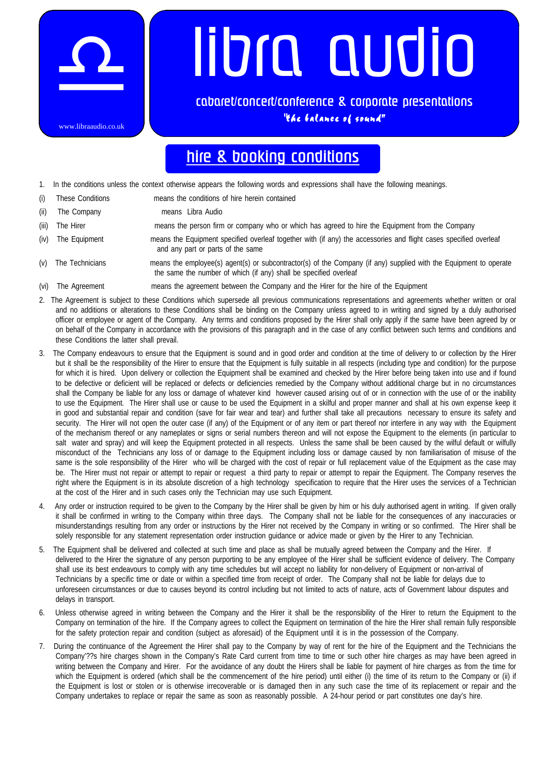

## libra audio

**cabaret/concert/conference & corporate presentations** "the balance of sound"

## **hire & booking conditions**

- 1. In the conditions unless the context otherwise appears the following words and expressions shall have the following meanings.
- (i) These Conditions means the conditions of hire herein contained
- (ii) The Company means Libra Audio
- (iii) The Hirer means the person firm or company who or which has agreed to hire the Equipment from the Company
- (iv) The Equipment means the Equipment specified overleaf together with (if any) the accessories and flight cases specified overleaf and any part or parts of the same
- (v) The Technicians means the employee(s) agent(s) or subcontractor(s) of the Company (if any) supplied with the Equipment to operate the same the number of which (if any) shall be specified overleaf
- (vi) The Agreement means the agreement between the Company and the Hirer for the hire of the Equipment
- 2. The Agreement is subject to these Conditions which supersede all previous communications representations and agreements whether written or oral and no additions or alterations to these Conditions shall be binding on the Company unless agreed to in writing and signed by a duly authorised officer or employee or agent of the Company. Any terms and conditions proposed by the Hirer shall only apply if the same have been agreed by or on behalf of the Company in accordance with the provisions of this paragraph and in the case of any conflict between such terms and conditions and these Conditions the latter shall prevail.
- 3. The Company endeavours to ensure that the Equipment is sound and in good order and condition at the time of delivery to or collection by the Hirer but it shall be the responsibility of the Hirer to ensure that the Equipment is fully suitable in all respects (including type and condition) for the purpose for which it is hired. Upon delivery or collection the Equipment shall be examined and checked by the Hirer before being taken into use and if found to be defective or deficient will be replaced or defects or deficiencies remedied by the Company without additional charge but in no circumstances shall the Company be liable for any loss or damage of whatever kind however caused arising out of or in connection with the use of or the inability to use the Equipment. The Hirer shall use or cause to be used the Equipment in a skilful and proper manner and shall at his own expense keep it in good and substantial repair and condition (save for fair wear and tear) and further shall take all precautions necessary to ensure its safety and security. The Hirer will not open the outer case (if any) of the Equipment or of any item or part thereof nor interfere in any way with the Equipment of the mechanism thereof or any nameplates or signs or serial numbers thereon and will not expose the Equipment to the elements (in particular to salt water and spray) and will keep the Equipment protected in all respects. Unless the same shall be been caused by the wilful default or wilfully misconduct of the Technicians any loss of or damage to the Equipment including loss or damage caused by non familiarisation of misuse of the same is the sole responsibility of the Hirer who will be charged with the cost of repair or full replacement value of the Equipment as the case may be. The Hirer must not repair or attempt to repair or request a third party to repair or attempt to repair the Equipment. The Company reserves the right where the Equipment is in its absolute discretion of a high technology specification to require that the Hirer uses the services of a Technician at the cost of the Hirer and in such cases only the Technician may use such Equipment.
- 4. Any order or instruction required to be given to the Company by the Hirer shall be given by him or his duly authorised agent in writing. If given orally it shall be confirmed in writing to the Company within three days. The Company shall not be liable for the consequences of any inaccuracies or misunderstandings resulting from any order or instructions by the Hirer not received by the Company in writing or so confirmed. The Hirer shall be solely responsible for any statement representation order instruction guidance or advice made or given by the Hirer to any Technician.
- 5. The Equipment shall be delivered and collected at such time and place as shall be mutually agreed between the Company and the Hirer. If delivered to the Hirer the signature of any person purporting to be any employee of the Hirer shall be sufficient evidence of delivery. The Company shall use its best endeavours to comply with any time schedules but will accept no liability for non-delivery of Equipment or non-arrival of Technicians by a specific time or date or within a specified time from receipt of order. The Company shall not be liable for delays due to unforeseen circumstances or due to causes beyond its control including but not limited to acts of nature, acts of Government labour disputes and delays in transport.
- 6. Unless otherwise agreed in writing between the Company and the Hirer it shall be the responsibility of the Hirer to return the Equipment to the Company on termination of the hire. If the Company agrees to collect the Equipment on termination of the hire the Hirer shall remain fully responsible for the safety protection repair and condition (subject as aforesaid) of the Equipment until it is in the possession of the Company.
- 7. During the continuance of the Agreement the Hirer shall pay to the Company by way of rent for the hire of the Equipment and the Technicians the Company'??s hire charges shown in the Company's Rate Card current from time to time or such other hire charges as may have been agreed in writing between the Company and Hirer. For the avoidance of any doubt the Hirers shall be liable for payment of hire charges as from the time for which the Equipment is ordered (which shall be the commencement of the hire period) until either (i) the time of its return to the Company or (ii) if the Equipment is lost or stolen or is otherwise irrecoverable or is damaged then in any such case the time of its replacement or repair and the Company undertakes to replace or repair the same as soon as reasonably possible. A 24-hour period or part constitutes one day's hire.